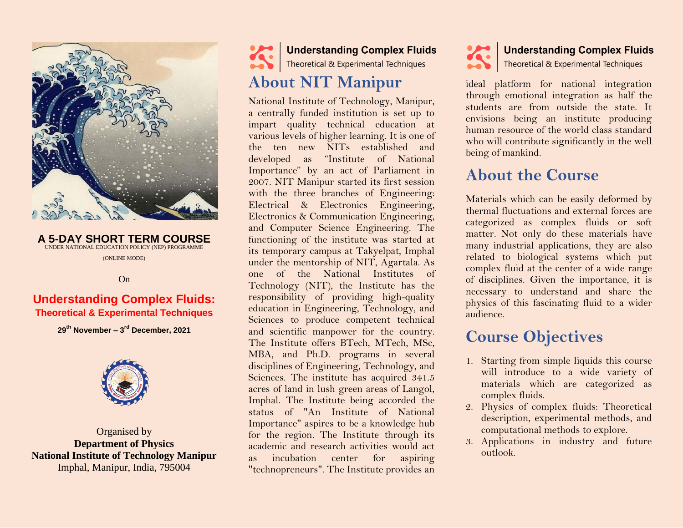

**A 5-DAY SHORT TERM COURSE** UNDER NATIONAL EDUCATION POLICY (NEP) PROGRAMME (ONLINE MODE)

On

#### **Understanding Complex Fluids: Theoretical & Experimental Techniques**

**29th November – 3 rd December, 2021**



Organised by **Department of Physics National Institute of Technology Manipur** Imphal, Manipur, India, 795004

Understanding Complex Fluids<br>Theoretical & Experimental Techniques

# **About NIT Manipur**

National Institute of Technology, Manipur, a centrally funded institution is set up to impart quality technical education at various levels of higher learning. It is one of the ten new NITs established and developed as "Institute of National Importance" by an act of Parliament in 2007. NIT Manipur started its first session with the three branches of Engineering: Electrical & Electronics Engineering, Electronics & Communication Engineering, and Computer Science Engineering. The functioning of the institute was started at its temporary campus at Takyelpat, Imphal under the mentorship of NIT, Agartala. As one of the National Institutes of Technology (NIT), the Institute has the responsibility of providing high-quality education in Engineering, Technology, and Sciences to produce competent technical and scientific manpower for the country. The Institute offers BTech, MTech, MSc, MBA, and Ph.D. programs in several disciplines of Engineering, Technology, and Sciences. The institute has acquired 341.5 acres of land in lush green areas of Langol, Imphal. The Institute being accorded the status of "An Institute of National Importance" aspires to be a knowledge hub for the region. The Institute through its academic and research activities would act as incubation center for aspiring "technopreneurs". The Institute provides an



ideal platform for national integration through emotional integration as half the students are from outside the state. It envisions being an institute producing human resource of the world class standard who will contribute significantly in the well being of mankind.

# **About the Course**

Materials which can be easily deformed by thermal fluctuations and external forces are categorized as complex fluids or soft matter. Not only do these materials have many industrial applications, they are also related to biological systems which put complex fluid at the center of a wide range of disciplines. Given the importance, it is necessary to understand and share the physics of this fascinating fluid to a wider audience.

## **Course Objectives**

- 1. Starting from simple liquids this course will introduce to a wide variety of materials which are categorized as complex fluids.
- 2. Physics of complex fluids: Theoretical description, experimental methods, and computational methods to explore.
- 3. Applications in industry and future outlook.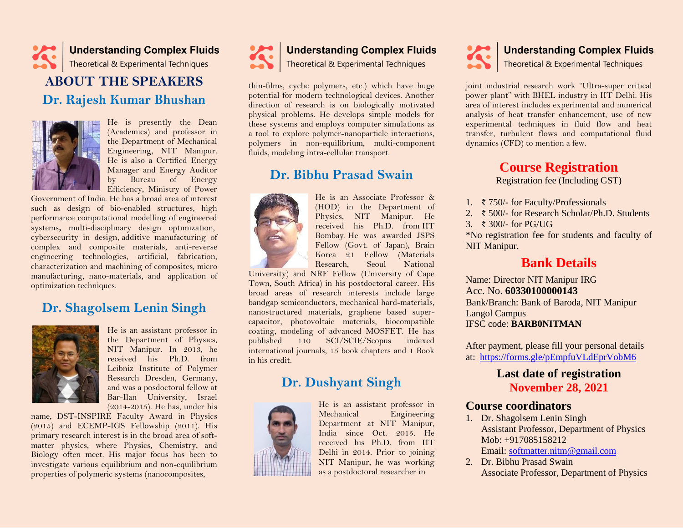

## **ABOUT THE SPEAKERS Dr. Rajesh Kumar Bhushan**



He is presently the Dean (Academics) and professor in the Department of Mechanical Engineering, NIT Manipur. He is also a Certified Energy Manager and Energy Auditor by Bureau of Energy Efficiency, Ministry of Power

Government of India. He has a broad area of interest such as design of bio-enabled structures, high performance computational modelling of engineered systems**,** multi-disciplinary design optimization, cybersecurity in design, additive manufacturing of complex and composite materials, anti-reverse engineering technologies, artificial, fabrication, characterization and machining of composites, micro manufacturing, nano-materials, and application of optimization techniques.

## **Dr. Shagolsem Lenin Singh**



He is an assistant professor in the Department of Physics, NIT Manipur. In 2013, he received his Ph.D. from Leibniz Institute of Polymer Research Dresden, Germany, and was a posdoctoral fellow at Bar-Ilan University, Israel (2014-2015). He has, under his

name, DST-INSPIRE Faculty Award in Physics (2015) and ECEMP-IGS Fellowship (2011). His primary research interest is in the broad area of softmatter physics, where Physics, Chemistry, and Biology often meet. His major focus has been to investigate various equilibrium and non-equilibrium properties of polymeric systems (nanocomposites,



# Understanding Complex Fluids

thin-films, cyclic polymers, etc.) which have huge potential for modern technological devices. Another direction of research is on biologically motivated physical problems. He develops simple models for these systems and employs computer simulations as a tool to explore polymer-nanoparticle interactions, polymers in non-equilibrium, multi-component fluids, modeling intra-cellular transport.

### **Dr. Bibhu Prasad Swain**



He is an Associate Professor & (HOD) in the Department of Physics, NIT Manipur. He received his Ph.D. from IIT Bombay. He was awarded JSPS Fellow (Govt. of Japan), Brain Korea 21 Fellow (Materials Research, Seoul National

University) and NRF Fellow (University of Cape Town, South Africa) in his postdoctoral career. His broad areas of research interests include large bandgap semiconductors, mechanical hard-materials, nanostructured materials, graphene based supercapacitor, photovoltaic materials, biocompatible coating, modeling of advanced MOSFET. He has published 110 SCI/SCIE/Scopus indexed international journals, 15 book chapters and 1 Book in his credit.

## **Dr. Dushyant Singh**



He is an assistant professor in Mechanical Engineering Department at NIT Manipur, India since Oct. 2015. He received his Ph.D. from IIT Delhi in 2014. Prior to joining NIT Manipur, he was working as a postdoctoral researcher in

# Understanding Complex Fluids

joint industrial research work "Ultra-super critical power plant" with BHEL industry in IIT Delhi. His area of interest includes experimental and numerical analysis of heat transfer enhancement, use of new experimental techniques in fluid flow and heat transfer, turbulent flows and computational fluid dynamics (CFD) to mention a few.

#### **Course Registration** Registration fee (Including GST)

- 1. ₹ 750/- for Faculty/Professionals
- 2. ₹ 500/- for Research Scholar/Ph.D. Students
- 3. ₹ 300/- for PG/UG

\*No registration fee for students and faculty of NIT Manipur.

### **Bank Details**

Name: Director NIT Manipur IRG Acc. No. **60330100000143** Bank/Branch: Bank of Baroda, NIT Manipur Langol Campus IFSC code: **BARB0NITMAN**

After payment, please fill your personal details at: <https://forms.gle/pEmpfuVLdEprVobM6>

### **Last date of registration November 28, 2021**

#### **Course coordinators**

- 1. Dr. Shagolsem Lenin Singh Assistant Professor, Department of Physics Mob: +917085158212 Email: [softmatter.nitm@gmail.com](mailto:slenin2001@gmail.com)
- 2. Dr. Bibhu Prasad Swain Associate Professor, Department of Physics